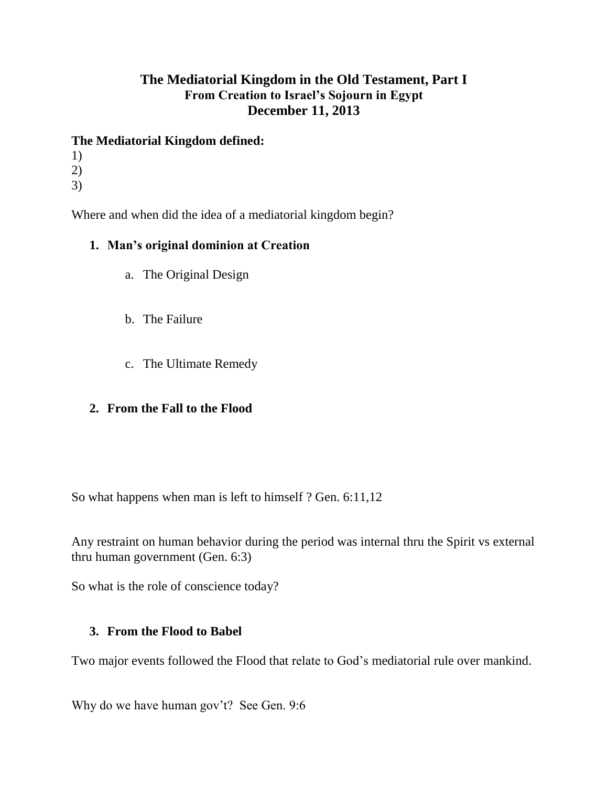# **The Mediatorial Kingdom in the Old Testament, Part I From Creation to Israel's Sojourn in Egypt December 11, 2013**

### **The Mediatorial Kingdom defined:**

- 1) 2)
- 3)

Where and when did the idea of a mediatorial kingdom begin?

### **1. Man's original dominion at Creation**

- a. The Original Design
- b. The Failure
- c. The Ultimate Remedy

## **2. From the Fall to the Flood**

So what happens when man is left to himself ? Gen. 6:11,12

Any restraint on human behavior during the period was internal thru the Spirit vs external thru human government (Gen. 6:3)

So what is the role of conscience today?

#### **3. From the Flood to Babel**

Two major events followed the Flood that relate to God's mediatorial rule over mankind.

Why do we have human gov't? See Gen. 9:6